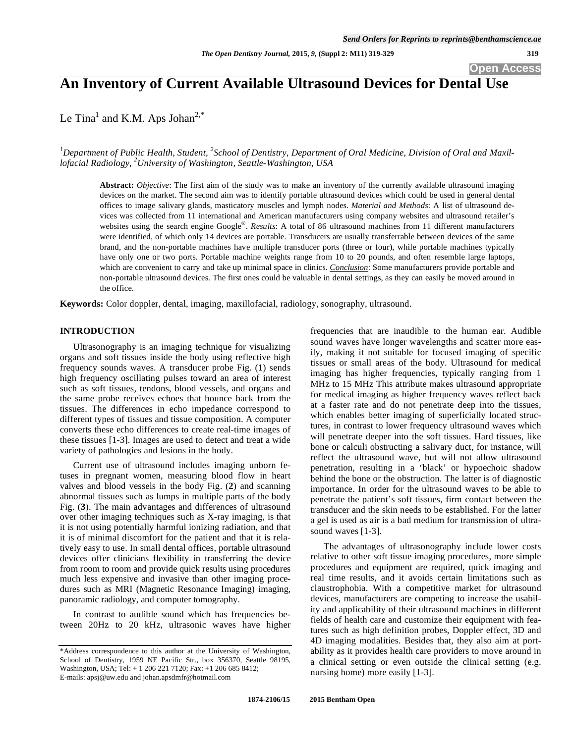**Open Access** 

# **An Inventory of Current Available Ultrasound Devices for Dental Use**

Le Tina<sup>1</sup> and K.M. Aps Johan<sup>2,\*</sup>

<sup>1</sup>Department of Public Health, Student, <sup>2</sup>School of Dentistry, Department of Oral Medicine, Division of Oral and Maxil*lofacial Radiology, 2 University of Washington, Seattle-Washington, USA* 

**Abstract:** *Objective*: The first aim of the study was to make an inventory of the currently available ultrasound imaging devices on the market. The second aim was to identify portable ultrasound devices which could be used in general dental offices to image salivary glands, masticatory muscles and lymph nodes. *Material and Methods*: A list of ultrasound devices was collected from 11 international and American manufacturers using company websites and ultrasound retailer's websites using the search engine Google®. *Results*: A total of 86 ultrasound machines from 11 different manufacturers were identified, of which only 14 devices are portable. Transducers are usually transferrable between devices of the same brand, and the non-portable machines have multiple transducer ports (three or four), while portable machines typically have only one or two ports. Portable machine weights range from 10 to 20 pounds, and often resemble large laptops, which are convenient to carry and take up minimal space in clinics. *Conclusion*: Some manufacturers provide portable and non-portable ultrasound devices. The first ones could be valuable in dental settings, as they can easily be moved around in the office.

**Keywords:** Color doppler, dental, imaging, maxillofacial, radiology, sonography, ultrasound.

## **INTRODUCTION**

Ultrasonography is an imaging technique for visualizing organs and soft tissues inside the body using reflective high frequency sounds waves. A transducer probe Fig. (**1**) sends high frequency oscillating pulses toward an area of interest such as soft tissues, tendons, blood vessels, and organs and the same probe receives echoes that bounce back from the tissues. The differences in echo impedance correspond to different types of tissues and tissue composition. A computer converts these echo differences to create real-time images of these tissues [1-3]. Images are used to detect and treat a wide variety of pathologies and lesions in the body.

Current use of ultrasound includes imaging unborn fetuses in pregnant women, measuring blood flow in heart valves and blood vessels in the body Fig. (**2**) and scanning abnormal tissues such as lumps in multiple parts of the body Fig. (**3**). The main advantages and differences of ultrasound over other imaging techniques such as X-ray imaging, is that it is not using potentially harmful ionizing radiation, and that it is of minimal discomfort for the patient and that it is relatively easy to use. In small dental offices, portable ultrasound devices offer clinicians flexibility in transferring the device from room to room and provide quick results using procedures much less expensive and invasive than other imaging procedures such as MRI (Magnetic Resonance Imaging) imaging, panoramic radiology, and computer tomography.

In contrast to audible sound which has frequencies between 20Hz to 20 kHz, ultrasonic waves have higher frequencies that are inaudible to the human ear. Audible sound waves have longer wavelengths and scatter more easily, making it not suitable for focused imaging of specific tissues or small areas of the body. Ultrasound for medical imaging has higher frequencies, typically ranging from 1 MHz to 15 MHz This attribute makes ultrasound appropriate for medical imaging as higher frequency waves reflect back at a faster rate and do not penetrate deep into the tissues, which enables better imaging of superficially located structures, in contrast to lower frequency ultrasound waves which will penetrate deeper into the soft tissues. Hard tissues, like bone or calculi obstructing a salivary duct, for instance, will reflect the ultrasound wave, but will not allow ultrasound penetration, resulting in a 'black' or hypoechoic shadow behind the bone or the obstruction. The latter is of diagnostic importance. In order for the ultrasound waves to be able to penetrate the patient's soft tissues, firm contact between the transducer and the skin needs to be established. For the latter a gel is used as air is a bad medium for transmission of ultrasound waves [1-3].

The advantages of ultrasonography include lower costs relative to other soft tissue imaging procedures, more simple procedures and equipment are required, quick imaging and real time results, and it avoids certain limitations such as claustrophobia. With a competitive market for ultrasound devices, manufacturers are competing to increase the usability and applicability of their ultrasound machines in different fields of health care and customize their equipment with features such as high definition probes, Doppler effect, 3D and 4D imaging modalities. Besides that, they also aim at portability as it provides health care providers to move around in a clinical setting or even outside the clinical setting (e.g. nursing home) more easily [1-3].

<sup>\*</sup>Address correspondence to this author at the University of Washington, School of Dentistry, 1959 NE Pacific Str., box 356370, Seattle 98195, Washington, USA; Tel: + 1 206 221 7120; Fax: +1 206 685 8412; E-mails: apsj@uw.edu and johan.apsdmfr@hotmail.com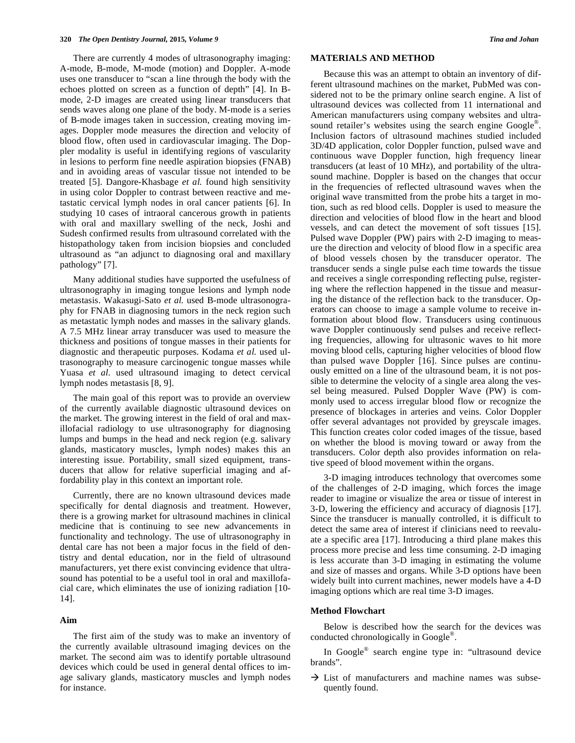There are currently 4 modes of ultrasonography imaging: A-mode, B-mode, M-mode (motion) and Doppler. A-mode uses one transducer to "scan a line through the body with the echoes plotted on screen as a function of depth" [4]. In Bmode, 2-D images are created using linear transducers that sends waves along one plane of the body. M-mode is a series of B-mode images taken in succession, creating moving images. Doppler mode measures the direction and velocity of blood flow, often used in cardiovascular imaging. The Doppler modality is useful in identifying regions of vascularity in lesions to perform fine needle aspiration biopsies (FNAB) and in avoiding areas of vascular tissue not intended to be treated [5]. Dangore-Khasbage *et al.* found high sensitivity in using color Doppler to contrast between reactive and metastatic cervical lymph nodes in oral cancer patients [6]. In studying 10 cases of intraoral cancerous growth in patients with oral and maxillary swelling of the neck, Joshi and Sudesh confirmed results from ultrasound correlated with the histopathology taken from incision biopsies and concluded ultrasound as "an adjunct to diagnosing oral and maxillary pathology" [7].

Many additional studies have supported the usefulness of ultrasonography in imaging tongue lesions and lymph node metastasis. Wakasugi-Sato *et al.* used B-mode ultrasonography for FNAB in diagnosing tumors in the neck region such as metastatic lymph nodes and masses in the salivary glands. A 7.5 MHz linear array transducer was used to measure the thickness and positions of tongue masses in their patients for diagnostic and therapeutic purposes. Kodama *et al.* used ultrasonography to measure carcinogenic tongue masses while Yuasa *et al.* used ultrasound imaging to detect cervical lymph nodes metastasis [8, 9].

The main goal of this report was to provide an overview of the currently available diagnostic ultrasound devices on the market. The growing interest in the field of oral and maxillofacial radiology to use ultrasonography for diagnosing lumps and bumps in the head and neck region (e.g. salivary glands, masticatory muscles, lymph nodes) makes this an interesting issue. Portability, small sized equipment, transducers that allow for relative superficial imaging and affordability play in this context an important role.

Currently, there are no known ultrasound devices made specifically for dental diagnosis and treatment. However, there is a growing market for ultrasound machines in clinical medicine that is continuing to see new advancements in functionality and technology. The use of ultrasonography in dental care has not been a major focus in the field of dentistry and dental education, nor in the field of ultrasound manufacturers, yet there exist convincing evidence that ultrasound has potential to be a useful tool in oral and maxillofacial care, which eliminates the use of ionizing radiation [10- 14].

#### **Aim**

The first aim of the study was to make an inventory of the currently available ultrasound imaging devices on the market. The second aim was to identify portable ultrasound devices which could be used in general dental offices to image salivary glands, masticatory muscles and lymph nodes for instance.

## **MATERIALS AND METHOD**

Because this was an attempt to obtain an inventory of different ultrasound machines on the market, PubMed was considered not to be the primary online search engine. A list of ultrasound devices was collected from 11 international and American manufacturers using company websites and ultrasound retailer's websites using the search engine Google<sup>®</sup>. Inclusion factors of ultrasound machines studied included 3D/4D application, color Doppler function, pulsed wave and continuous wave Doppler function, high frequency linear transducers (at least of 10 MHz), and portability of the ultrasound machine. Doppler is based on the changes that occur in the frequencies of reflected ultrasound waves when the original wave transmitted from the probe hits a target in motion, such as red blood cells. Doppler is used to measure the direction and velocities of blood flow in the heart and blood vessels, and can detect the movement of soft tissues [15]. Pulsed wave Doppler (PW) pairs with 2-D imaging to measure the direction and velocity of blood flow in a specific area of blood vessels chosen by the transducer operator. The transducer sends a single pulse each time towards the tissue and receives a single corresponding reflecting pulse, registering where the reflection happened in the tissue and measuring the distance of the reflection back to the transducer. Operators can choose to image a sample volume to receive information about blood flow. Transducers using continuous wave Doppler continuously send pulses and receive reflecting frequencies, allowing for ultrasonic waves to hit more moving blood cells, capturing higher velocities of blood flow than pulsed wave Doppler [16]. Since pulses are continuously emitted on a line of the ultrasound beam, it is not possible to determine the velocity of a single area along the vessel being measured. Pulsed Doppler Wave (PW) is commonly used to access irregular blood flow or recognize the presence of blockages in arteries and veins. Color Doppler offer several advantages not provided by greyscale images. This function creates color coded images of the tissue, based on whether the blood is moving toward or away from the transducers. Color depth also provides information on relative speed of blood movement within the organs.

3-D imaging introduces technology that overcomes some of the challenges of 2-D imaging, which forces the image reader to imagine or visualize the area or tissue of interest in 3-D, lowering the efficiency and accuracy of diagnosis [17]. Since the transducer is manually controlled, it is difficult to detect the same area of interest if clinicians need to reevaluate a specific area [17]. Introducing a third plane makes this process more precise and less time consuming. 2-D imaging is less accurate than 3-D imaging in estimating the volume and size of masses and organs. While 3-D options have been widely built into current machines, newer models have a 4-D imaging options which are real time 3-D images.

#### **Method Flowchart**

Below is described how the search for the devices was conducted chronologically in Google®.

In Google® search engine type in: "ultrasound device brands".

 $\rightarrow$  List of manufacturers and machine names was subsequently found.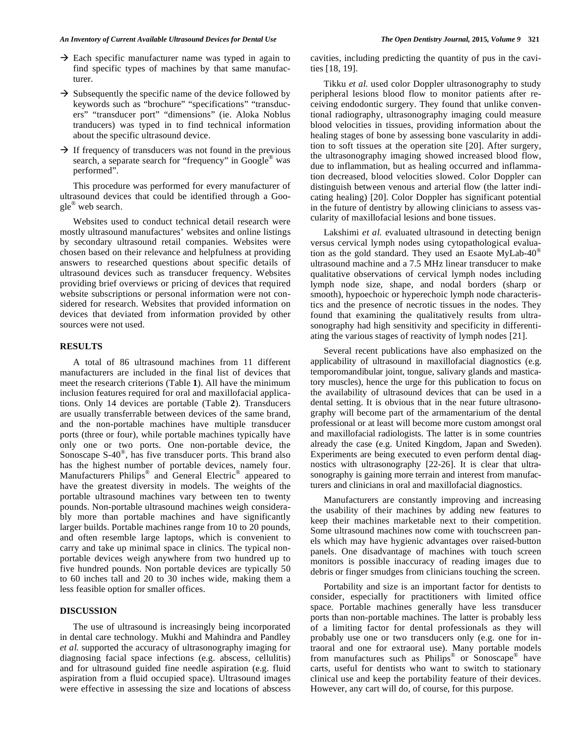- $\rightarrow$  Each specific manufacturer name was typed in again to find specific types of machines by that same manufacturer.
- $\rightarrow$  Subsequently the specific name of the device followed by keywords such as "brochure" "specifications" "transducers" "transducer port" "dimensions" (ie. Aloka Noblus tranducers) was typed in to find technical information about the specific ultrasound device.
- $\rightarrow$  If frequency of transducers was not found in the previous search, a separate search for "frequency" in Google<sup>®</sup> was performed".

This procedure was performed for every manufacturer of ultrasound devices that could be identified through a Google® web search.

Websites used to conduct technical detail research were mostly ultrasound manufactures' websites and online listings by secondary ultrasound retail companies. Websites were chosen based on their relevance and helpfulness at providing answers to researched questions about specific details of ultrasound devices such as transducer frequency. Websites providing brief overviews or pricing of devices that required website subscriptions or personal information were not considered for research. Websites that provided information on devices that deviated from information provided by other sources were not used.

## **RESULTS**

A total of 86 ultrasound machines from 11 different manufacturers are included in the final list of devices that meet the research criterions (Table **1**). All have the minimum inclusion features required for oral and maxillofacial applications. Only 14 devices are portable (Table **2**). Transducers are usually transferrable between devices of the same brand, and the non-portable machines have multiple transducer ports (three or four), while portable machines typically have only one or two ports. One non-portable device, the Sonoscape S-40®, has five transducer ports. This brand also has the highest number of portable devices, namely four. Manufacturers Philips® and General Electric® appeared to have the greatest diversity in models. The weights of the portable ultrasound machines vary between ten to twenty pounds. Non-portable ultrasound machines weigh considerably more than portable machines and have significantly larger builds. Portable machines range from 10 to 20 pounds, and often resemble large laptops, which is convenient to carry and take up minimal space in clinics. The typical nonportable devices weigh anywhere from two hundred up to five hundred pounds. Non portable devices are typically 50 to 60 inches tall and 20 to 30 inches wide, making them a less feasible option for smaller offices.

## **DISCUSSION**

The use of ultrasound is increasingly being incorporated in dental care technology. Mukhi and Mahindra and Pandley *et al.* supported the accuracy of ultrasonography imaging for diagnosing facial space infections (e.g. abscess, cellulitis) and for ultrasound guided fine needle aspiration (e.g. fluid aspiration from a fluid occupied space). Ultrasound images were effective in assessing the size and locations of abscess cavities, including predicting the quantity of pus in the cavities [18, 19].

Tikku *et al.* used color Doppler ultrasonography to study peripheral lesions blood flow to monitor patients after receiving endodontic surgery. They found that unlike conventional radiography, ultrasonography imaging could measure blood velocities in tissues, providing information about the healing stages of bone by assessing bone vascularity in addition to soft tissues at the operation site [20]. After surgery, the ultrasonography imaging showed increased blood flow, due to inflammation, but as healing occurred and inflammation decreased, blood velocities slowed. Color Doppler can distinguish between venous and arterial flow (the latter indicating healing) [20]. Color Doppler has significant potential in the future of dentistry by allowing clinicians to assess vascularity of maxillofacial lesions and bone tissues.

Lakshimi *et al.* evaluated ultrasound in detecting benign versus cervical lymph nodes using cytopathological evaluation as the gold standard. They used an Esaote MyLab-40® ultrasound machine and a 7.5 MHz linear transducer to make qualitative observations of cervical lymph nodes including lymph node size, shape, and nodal borders (sharp or smooth), hypoechoic or hyperechoic lymph node characteristics and the presence of necrotic tissues in the nodes. They found that examining the qualitatively results from ultrasonography had high sensitivity and specificity in differentiating the various stages of reactivity of lymph nodes [21].

Several recent publications have also emphasized on the applicability of ultrasound in maxillofacial diagnostics (e.g. temporomandibular joint, tongue, salivary glands and masticatory muscles), hence the urge for this publication to focus on the availability of ultrasound devices that can be used in a dental setting. It is obvious that in the near future ultrasonography will become part of the armamentarium of the dental professional or at least will become more custom amongst oral and maxillofacial radiologists. The latter is in some countries already the case (e.g. United Kingdom, Japan and Sweden). Experiments are being executed to even perform dental diagnostics with ultrasonography [22-26]. It is clear that ultrasonography is gaining more terrain and interest from manufacturers and clinicians in oral and maxillofacial diagnostics.

Manufacturers are constantly improving and increasing the usability of their machines by adding new features to keep their machines marketable next to their competition. Some ultrasound machines now come with touchscreen panels which may have hygienic advantages over raised-button panels. One disadvantage of machines with touch screen monitors is possible inaccuracy of reading images due to debris or finger smudges from clinicians touching the screen.

Portability and size is an important factor for dentists to consider, especially for practitioners with limited office space. Portable machines generally have less transducer ports than non-portable machines. The latter is probably less of a limiting factor for dental professionals as they will probably use one or two transducers only (e.g. one for intraoral and one for extraoral use). Many portable models from manufactures such as Philips® or Sonoscape® have carts, useful for dentists who want to switch to stationary clinical use and keep the portability feature of their devices. However, any cart will do, of course, for this purpose.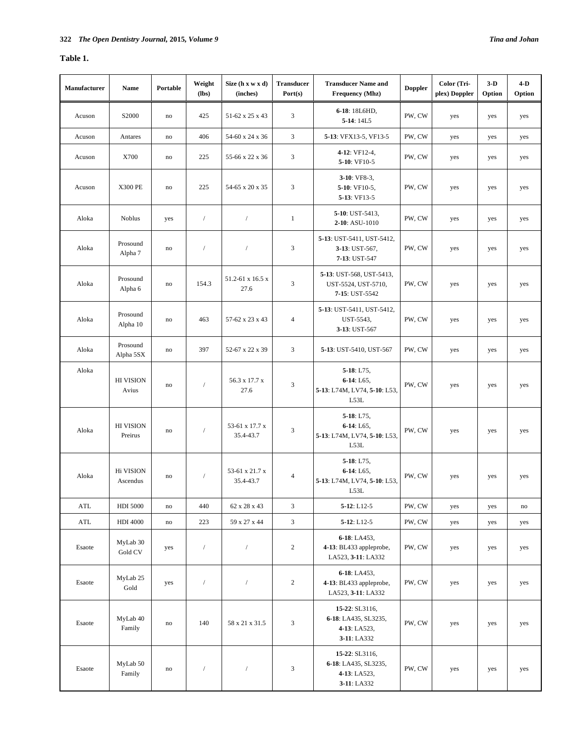# **Table 1.**

| Manufacturer | <b>Name</b>                    | Portable  | Weight<br>$(lbs)$ | Size $(h x w x d)$<br>(inches) | <b>Transducer</b><br>Port(s) | <b>Transducer Name and</b><br><b>Frequency (Mhz)</b>                  | <b>Doppler</b> | Color (Tri-<br>plex) Doppler | $3-D$<br>Option | $4-D$<br>Option |
|--------------|--------------------------------|-----------|-------------------|--------------------------------|------------------------------|-----------------------------------------------------------------------|----------------|------------------------------|-----------------|-----------------|
| Acuson       | S2000                          | no        | 425               | 51-62 x 25 x 43                | 3                            | 6-18: 18L6HD,<br>$5-14:14L5$                                          | PW, CW         | yes                          | yes             | yes             |
| Acuson       | Antares                        | no        | 406               | 54-60 x 24 x 36                | 3                            | 5-13: VFX13-5, VF13-5                                                 | PW, CW         | yes                          | yes             | yes             |
| Acuson       | X700                           | no        | 225               | 55-66 x 22 x 36                | 3                            | 4-12: VF12-4,<br>5-10: VF10-5                                         | PW, CW         | yes                          | yes             | yes             |
| Acuson       | <b>X300 PE</b>                 | no        | 225               | 54-65 x 20 x 35                | 3                            | $3-10$ : VF8-3,<br>5-10: VF10-5,<br>5-13: VF13-5                      | PW, CW         | yes                          | yes             | yes             |
| Aloka        | <b>Noblus</b>                  | yes       | $\sqrt{ }$        | $\sqrt{ }$                     | $\mathbf{1}$                 | 5-10: UST-5413,<br>2-10: ASU-1010                                     | PW, CW         | yes                          | yes             | yes             |
| Aloka        | Prosound<br>Alpha <sub>7</sub> | no        | $\sqrt{ }$        | $\sqrt{ }$                     | 3                            | 5-13: UST-5411, UST-5412,<br>3-13: UST-567,<br>7-13: UST-547          | PW, CW         | yes                          | yes             | yes             |
| Aloka        | Prosound<br>Alpha 6            | no        | 154.3             | 51.2-61 x 16.5 x<br>27.6       | $\mathfrak{Z}$               | 5-13: UST-568, UST-5413,<br>UST-5524, UST-5710,<br>7-15: UST-5542     | PW, CW         | yes                          | yes             | yes             |
| Aloka        | Prosound<br>Alpha 10           | no        | 463               | 57-62 x 23 x 43                | $\overline{4}$               | 5-13: UST-5411, UST-5412,<br>UST-5543,<br>3-13: UST-567               | PW, CW         | yes                          | yes             | yes             |
| Aloka        | Prosound<br>Alpha 5SX          | no        | 397               | 52-67 x 22 x 39                | 3                            | 5-13: UST-5410, UST-567                                               | PW, CW         | yes                          | yes             | yes             |
| Aloka        | <b>HI VISION</b><br>Avius      | no        | $\overline{1}$    | 56.3 x 17.7 x<br>27.6          | 3                            | $5-18: L75$ ,<br>$6-14: L65,$<br>5-13: L74M, LV74, 5-10: L53,<br>L53L | PW, CW         | yes                          | yes             | yes             |
| Aloka        | <b>HI VISION</b><br>Preirus    | no        | $\overline{1}$    | 53-61 x 17.7 x<br>35.4-43.7    | 3                            | $5-18: L75,$<br>$6-14: L65,$<br>5-13: L74M, LV74, 5-10: L53,<br>L53L  | PW, CW         | yes                          | yes             | yes             |
| Aloka        | Hi VISION<br>Ascendus          | no        | 1                 | 53-61 x 21.7 x<br>35.4-43.7    | $\overline{4}$               | $5-18: L75$ ,<br>$6-14: L65,$<br>5-13: L74M, LV74, 5-10: L53,<br>L53L | PW, CW         | yes                          | yes             | yes             |
| <b>ATL</b>   | <b>HDI 5000</b>                | $\rm{no}$ | 440               | 62 x 28 x 43                   | 3                            | $5 - 12$ : L12-5                                                      | PW, CW         | yes                          | yes             | $\rm{no}$       |
| ATL          | <b>HDI 4000</b>                | $\rm{no}$ | 223               | 59 x 27 x 44                   | $\mathfrak{Z}$               | $5-12: L12-5$                                                         | PW, CW         | yes                          | yes             | yes             |
| Esaote       | MyLab 30<br>Gold CV            | yes       | $\sqrt{ }$        | $\sqrt{2}$                     | $\overline{2}$               | $6 - 18$ : LA453,<br>4-13: BL433 appleprobe,<br>LA523, 3-11: LA332    | PW, CW         | yes                          | yes             | yes             |
| Esaote       | MyLab 25<br>Gold               | yes       | $\sqrt{2}$        | $\sqrt{ }$                     | $\overline{c}$               | $6-18$ : LA453,<br>4-13: BL433 appleprobe,<br>LA523, 3-11: LA332      | PW, CW         | yes                          | yes             | yes             |
| Esaote       | MyLab 40<br>Family             | no        | 140               | 58 x 21 x 31.5                 | 3                            | 15-22: SL3116,<br>6-18: LA435, SL3235,<br>4-13: LA523,<br>3-11: LA332 | PW, CW         | yes                          | yes             | yes             |
| Esaote       | MyLab 50<br>Family             | no        | $\sqrt{2}$        | $\sqrt{\phantom{a}}$           | $\mathfrak{Z}$               | 15-22: SL3116,<br>6-18: LA435, SL3235,<br>4-13: LA523,<br>3-11: LA332 | PW, CW         | yes                          | yes             | yes             |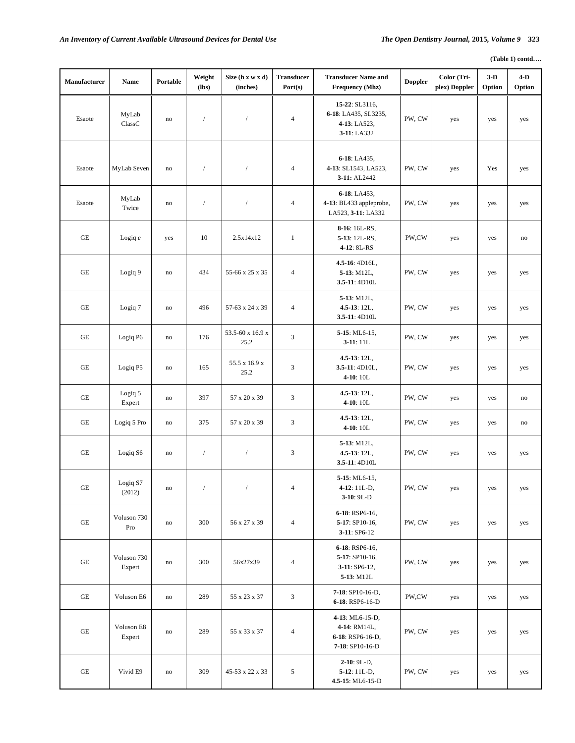| Manufacturer        | Name                  | Portable      | Weight<br>(lbs) | Size (h x w x d)<br>(inches) | <b>Transducer</b><br>Port(s) | <b>Transducer Name and</b><br><b>Frequency (Mhz)</b>                   | <b>Doppler</b> | Color (Tri-<br>plex) Doppler | $3-D$<br>Option | $4-D$<br>Option |
|---------------------|-----------------------|---------------|-----------------|------------------------------|------------------------------|------------------------------------------------------------------------|----------------|------------------------------|-----------------|-----------------|
| Esaote              | MyLab<br>ClassC       | no            | $\sqrt{ }$      |                              | $\overline{4}$               | 15-22: SL3116,<br>6-18: LA435, SL3235,<br>4-13: LA523,<br>3-11: LA332  | PW, CW         | yes                          | yes             | yes             |
| Esaote              | MyLab Seven           | no            | $\sqrt{ }$      | $\sqrt{2}$                   | $\overline{4}$               | 6-18: LA435,<br>4-13: SL1543, LA523,<br>3-11: AL2442                   | PW, CW         | yes                          | Yes             | yes             |
| Esaote              | MyLab<br>Twice        | no            | $\sqrt{ }$      | $\sqrt{2}$                   | $\overline{4}$               | 6-18: LA453,<br>4-13: BL433 appleprobe,<br>LA523, 3-11: LA332          | PW, CW         | yes                          | yes             | yes             |
| $\operatorname{GE}$ | Logiq $e$             | yes           | 10              | 2.5x14x12                    | $\mathbf{1}$                 | 8-16: 16L-RS,<br>5-13: 12L-RS,<br>4-12: 8L-RS                          | PW,CW          | yes                          | yes             | no              |
| $\operatorname{GE}$ | Logiq 9               | no            | 434             | 55-66 x 25 x 35              | $\overline{4}$               | 4.5-16: 4D16L,<br>5-13: M12L,<br>3.5-11: 4D10L                         | PW, CW         | yes                          | yes             | yes             |
| $\operatorname{GE}$ | Logiq 7               | no            | 496             | 57-63 x 24 x 39              | $\overline{4}$               | 5-13: M12L,<br>$4.5 - 13$ : 12L,<br>3.5-11: 4D10L                      | PW, CW         | yes                          | yes             | yes             |
| $\operatorname{GE}$ | Logiq P6              | no            | 176             | 53.5-60 x 16.9 x<br>25.2     | $\mathfrak{Z}$               | 5-15: ML6-15,<br>$3-11:11L$                                            | PW, CW         | yes                          | yes             | yes             |
| $\operatorname{GE}$ | Logiq P5              | $\mathbf{no}$ | 165             | 55.5 x 16.9 x<br>25.2        | 3                            | $4.5 - 13$ : 12L,<br>$3.5 - 11:4D10L,$<br>4-10: 10L                    | PW, CW         | yes                          | yes             | yes             |
| $\operatorname{GE}$ | Logiq 5<br>Expert     | no            | 397             | 57 x 20 x 39                 | 3                            | $4.5 - 13$ : 12L,<br>$4-10:10L$                                        | PW, CW         | yes                          | yes             | no              |
| GE                  | Logiq 5 Pro           | $\mathbf{no}$ | 375             | 57 x 20 x 39                 | 3                            | $4.5 - 13$ : 12L,<br>$4-10:10L$                                        | PW, CW         | yes                          | yes             | no              |
| $\operatorname{GE}$ | Logiq S6              | no            | $\sqrt{ }$      | $\sqrt{2}$                   | 3                            | 5-13: M12L,<br>$4.5 - 13:12L$ ,<br>3.5-11: 4D10L                       | PW, CW         | yes                          | yes             | yes             |
| $\operatorname{GE}$ | Logiq S7<br>(2012)    | no            | $\sqrt{2}$      |                              | $\overline{4}$               | $5-15$ : ML6-15,<br>4-12: 11L-D,<br>$3-10:9L-D$                        | PW, CW         | yes                          | yes             | yes             |
| GE                  | Voluson 730<br>Pro    | $\rm{no}$     | 300             | 56 x 27 x 39                 | $\overline{4}$               | 6-18: RSP6-16,<br>5-17: SP10-16,<br>$3-11: SP6-12$                     | PW, CW         | yes                          | yes             | yes             |
| GE                  | Voluson 730<br>Expert | $\rm{no}$     | 300             | 56x27x39                     | $\overline{4}$               | 6-18: RSP6-16,<br>5-17: SP10-16,<br>$3-11:$ SP6-12,<br>5-13: M12L      | PW, CW         | yes                          | yes             | yes             |
| $\operatorname{GE}$ | Voluson E6            | $\mathbf{no}$ | 289             | 55 x 23 x 37                 | 3                            | 7-18: SP10-16-D,<br>6-18: RSP6-16-D                                    | PW,CW          | yes                          | yes             | yes             |
| $\operatorname{GE}$ | Voluson E8<br>Expert  | $\mathbf{no}$ | 289             | 55 x 33 x 37                 | $\overline{4}$               | 4-13: ML6-15-D,<br>4-14: RM14L,<br>6-18: RSP6-16-D,<br>7-18: SP10-16-D | PW, CW         | yes                          | yes             | yes             |
| GE                  | Vivid E9              | $\mathbf{no}$ | 309             | 45-53 x 22 x 33              | 5                            | $2-10:9L-D,$<br>$5-12:11L-D,$<br>4.5-15: ML6-15-D                      | PW, CW         | yes                          | yes             | yes             |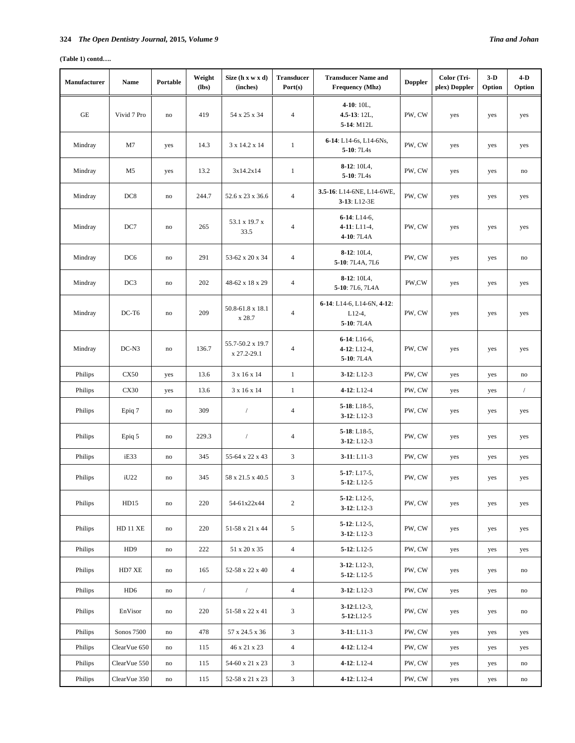## **(Table 1) contd….**

| Manufacturer | <b>Name</b>     | Portable      | Weight<br>(lbs) | Size (h x w x d)<br>(inches)    | <b>Transducer</b><br>Port(s) | <b>Transducer Name and</b><br><b>Frequency (Mhz)</b>  | <b>Doppler</b> | Color (Tri-<br>plex) Doppler | $3-D$<br>Option | $4-D$<br>Option            |
|--------------|-----------------|---------------|-----------------|---------------------------------|------------------------------|-------------------------------------------------------|----------------|------------------------------|-----------------|----------------------------|
| $\rm{GE}$    | Vivid 7 Pro     | no            | 419             | 54 x 25 x 34                    | $\overline{4}$               | $4-10:10L,$<br>$4.5 - 13$ : 12L,<br>5-14: M12L        | PW, CW         | yes                          | yes             | yes                        |
| Mindray      | M7              | yes           | 14.3            | 3 x 14.2 x 14                   | $\mathbf{1}$                 | 6-14: L14-6s, L14-6Ns,<br>5-10: 7L4s                  | PW, CW         | yes                          | yes             | yes                        |
| Mindray      | M5              | yes           | 13.2            | 3x14.2x14                       | $\mathbf{1}$                 | $8-12:10LA,$<br>5-10: 7L4s                            | PW, CW         | yes                          | yes             | no                         |
| Mindray      | DC <sub>8</sub> | no            | 244.7           | 52.6 x 23 x 36.6                | $\overline{4}$               | 3.5-16: L14-6NE, L14-6WE,<br>3-13: L12-3E             | PW, CW         | yes                          | yes             | yes                        |
| Mindray      | DC7             | no            | 265             | 53.1 x 19.7 x<br>33.5           | $\overline{4}$               | $6-14$ : L14-6,<br>$4-11: L11-4,$<br>4-10: 7L4A       | PW, CW         | yes                          | yes             | yes                        |
| Mindray      | DC <sub>6</sub> | no            | 291             | 53-62 x 20 x 34                 | $\overline{4}$               | $8-12:10LA,$<br>5-10: 7L4A, 7L6                       | PW, CW         | yes                          | yes             | no                         |
| Mindray      | DC <sub>3</sub> | $\rm{no}$     | 202             | 48-62 x 18 x 29                 | 4                            | $8-12:10LA,$<br>5-10: 7L6, 7L4A                       | PW,CW          | yes                          | yes             | yes                        |
| Mindray      | $DC-T6$         | no            | 209             | 50.8-61.8 x 18.1<br>x 28.7      | $\overline{4}$               | 6-14: L14-6, L14-6N, 4-12:<br>$L12-4$ ,<br>5-10: 7L4A | PW, CW         | yes                          | yes             | yes                        |
| Mindray      | $DC-N3$         | no            | 136.7           | 55.7-50.2 x 19.7<br>x 27.2-29.1 | $\overline{4}$               | $6-14$ : L16-6,<br>$4-12$ : L12-4,<br>5-10: 7L4A      | PW, CW         | yes                          | yes             | yes                        |
| Philips      | <b>CX50</b>     | yes           | 13.6            | 3 x 16 x 14                     | $\mathbf{1}$                 | $3-12: L12-3$                                         | PW, CW         | yes                          | yes             | no                         |
| Philips      | <b>CX30</b>     | yes           | 13.6            | 3 x 16 x 14                     | $\mathbf{1}$                 | 4-12: L12-4                                           | PW, CW         | yes                          | yes             | $\sqrt{2}$                 |
| Philips      | Epiq 7          | no            | 309             | $\sqrt{2}$                      | $\overline{4}$               | $5-18: L18-5,$<br>$3-12: L12-3$                       | PW, CW         | yes                          | yes             | yes                        |
| Philips      | Epiq 5          | no            | 229.3           | $\sqrt{2}$                      | $\overline{4}$               | $5-18: L18-5,$<br>$3-12: L12-3$                       | PW, CW         | yes                          | yes             | yes                        |
| Philips      | iE33            | no            | 345             | 55-64 x 22 x 43                 | 3                            | $3-11: L11-3$                                         | PW, CW         | yes                          | yes             | yes                        |
| Philips      | iU22            | no            | 345             | 58 x 21.5 x 40.5                | 3                            | $5-17: L17-5.$<br>$5 - 12$ : L12-5                    | PW, CW         | yes                          | yes             | yes                        |
| Philips      | HD15            | $\rm{no}$     | 220             | 54-61x22x44                     | $\overline{c}$               | $5-12: L12-5,$<br>$3-12: L12-3$                       | PW, CW         | yes                          | yes             | yes                        |
| Philips      | <b>HD 11 XE</b> | $\rm{no}$     | 220             | 51-58 x 21 x 44                 | 5                            | $5-12$ : L12-5,<br>$3-12: L12-3$                      | PW, CW         | yes                          | yes             | yes                        |
| Philips      | HD <sub>9</sub> | $\mathbf{no}$ | 222             | 51 x 20 x 35                    | $\overline{4}$               | $5-12: L12-5$                                         | PW, CW         | yes                          | yes             | yes                        |
| Philips      | HD7 XE          | $\mathbf{no}$ | 165             | 52-58 x 22 x 40                 | $\overline{4}$               | $3-12: L12-3,$<br>$5 - 12$ : L12-5                    | PW, CW         | yes                          | yes             | $\rm{no}$                  |
| Philips      | HD <sub>6</sub> | $\rm{no}$     | $\sqrt{ }$      | $\sqrt{ }$                      | $\overline{4}$               | $3-12: L12-3$                                         | PW, CW         | yes                          | yes             | $\rm{no}$                  |
| Philips      | EnVisor         | $\mathbf{no}$ | 220             | 51-58 x 22 x 41                 | 3                            | $3 - 12$ :L12-3.<br>$5 - 12$ :L12-5                   | PW, CW         | yes                          | yes             | $\rm{no}$                  |
| Philips      | Sonos 7500      | $\mathbf{no}$ | 478             | 57 x 24.5 x 36                  | $\mathfrak{Z}$               | $3-11: L11-3$                                         | PW, CW         | yes                          | yes             | yes                        |
| Philips      | ClearVue 650    | $\mathbf{no}$ | 115             | 46 x 21 x 23                    | $\overline{4}$               | $4-12: L12-4$                                         | PW, CW         | yes                          | yes             | yes                        |
| Philips      | ClearVue 550    | no            | 115             | 54-60 x 21 x 23                 | 3                            | 4-12: L12-4                                           | PW, CW         | yes                          | yes             | $\rm{no}$                  |
| Philips      | ClearVue 350    | $\rm{no}$     | 115             | 52-58 x 21 x 23                 | 3                            | $4-12: L12-4$                                         | PW, CW         | yes                          | yes             | $\mathop{\rm no}\nolimits$ |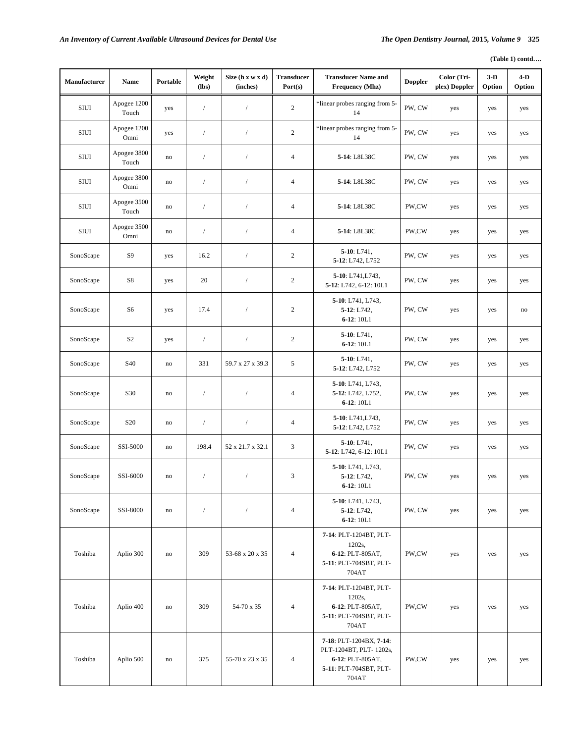| Manufacturer | Name                 | Portable | Weight<br>$(lbs)$ | Size (h x w x d)<br>(inches) | <b>Transducer</b><br>Port(s) | <b>Transducer Name and</b><br>Frequency (Mhz)                                                            | <b>Doppler</b> | Color (Tri-<br>plex) Doppler | $3-D$<br>Option | $4-D$<br>Option |
|--------------|----------------------|----------|-------------------|------------------------------|------------------------------|----------------------------------------------------------------------------------------------------------|----------------|------------------------------|-----------------|-----------------|
| <b>SIUI</b>  | Apogee 1200<br>Touch | yes      | $\sqrt{ }$        | $\sqrt{ }$                   | $\mathbf{2}$                 | *linear probes ranging from 5-<br>14                                                                     | PW, CW         | yes                          | yes             | yes             |
| SIUI         | Apogee 1200<br>Omni  | yes      | $\sqrt{ }$        | $\sqrt{2}$                   | $\sqrt{2}$                   | *linear probes ranging from 5-<br>14                                                                     | PW, CW         | yes                          | yes             | yes             |
| <b>SIUI</b>  | Apogee 3800<br>Touch | no       | $\sqrt{ }$        | $\sqrt{ }$                   | $\overline{4}$               | 5-14: L8L38C                                                                                             | PW, CW         | yes                          | yes             | yes             |
| SIUI         | Apogee 3800<br>Omni  | no       | $\sqrt{ }$        | $\sqrt{ }$                   | $\overline{4}$               | 5-14: L8L38C                                                                                             | PW, CW         | yes                          | yes             | yes             |
| SIUI         | Apogee 3500<br>Touch | no       | $\sqrt{ }$        | $\sqrt{2}$                   | $\overline{4}$               | 5-14: L8L38C                                                                                             | PW,CW          | yes                          | yes             | yes             |
| SIUI         | Apogee 3500<br>Omni  | no       | $\sqrt{2}$        | $\sqrt{2}$                   | $\overline{4}$               | 5-14: L8L38C                                                                                             | PW,CW          | yes                          | yes             | yes             |
| SonoScape    | S <sub>9</sub>       | yes      | 16.2              | $\sqrt{ }$                   | $\sqrt{2}$                   | $5-10$ : L741,<br>5-12: L742, L752                                                                       | PW, CW         | yes                          | yes             | yes             |
| SonoScape    | S8                   | yes      | 20                | $\sqrt{2}$                   | $\overline{c}$               | 5-10: L741, L743,<br>5-12: L742, 6-12: 10L1                                                              | PW, CW         | yes                          | yes             | yes             |
| SonoScape    | S6                   | yes      | 17.4              | $\sqrt{2}$                   | $\overline{c}$               | 5-10: L741, L743,<br>5-12: L742,<br>$6-12:10L1$                                                          | PW, CW         | yes                          | yes             | no              |
| SonoScape    | S <sub>2</sub>       | yes      | $\sqrt{ }$        | $\sqrt{ }$                   | $\sqrt{2}$                   | $5-10$ : L741,<br>$6-12:10L1$                                                                            | PW, CW         | yes                          | yes             | yes             |
| SonoScape    | S40                  | no       | 331               | 59.7 x 27 x 39.3             | 5                            | $5-10$ : L741,<br>5-12: L742, L752                                                                       | PW, CW         | yes                          | yes             | yes             |
| SonoScape    | S30                  | no       | $\sqrt{ }$        | $\sqrt{ }$                   | $\overline{4}$               | 5-10: L741, L743,<br>5-12: L742, L752,<br>$6-12:10L1$                                                    | PW, CW         | yes                          | yes             | yes             |
| SonoScape    | S <sub>20</sub>      | no       | $\sqrt{2}$        | $\sqrt{2}$                   | $\overline{4}$               | 5-10: L741, L743,<br>5-12: L742, L752                                                                    | PW, CW         | yes                          | yes             | yes             |
| SonoScape    | SSI-5000             | no       | 198.4             | 52 x 21.7 x 32.1             | $\mathfrak{Z}$               | $5-10$ : L741,<br>5-12: L742, 6-12: 10L1                                                                 | PW, CW         | yes                          | yes             | yes             |
| SonoScape    | SSI-6000             | no       | $\sqrt{2}$        | $\sqrt{2}$                   | 3                            | 5-10: L741, L743,<br>5-12: L742,<br>$6 - 12$ : 10L1                                                      | PW, CW         | yes                          | yes             | yes             |
| SonoScape    | SSI-8000             | no       | $\sqrt{ }$        | $\sqrt{2}$                   | $\overline{4}$               | 5-10: L741, L743,<br>5-12: L742,<br>$6-12:10L1$                                                          | PW, CW         | yes                          | yes             | yes             |
| Toshiba      | Aplio 300            | no       | 309               | 53-68 x 20 x 35              | $\overline{4}$               | 7-14: PLT-1204BT, PLT-<br>1202s,<br>6-12: PLT-805AT,<br>5-11: PLT-704SBT, PLT-<br>704AT                  | PW,CW          | yes                          | yes             | yes             |
| Toshiba      | Aplio 400            | no       | 309               | 54-70 x 35                   | $\overline{4}$               | 7-14: PLT-1204BT, PLT-<br>1202s,<br>6-12: PLT-805AT,<br>5-11: PLT-704SBT, PLT-<br>704AT                  | PW,CW          | yes                          | yes             | yes             |
| Toshiba      | Aplio 500            | no       | 375               | 55-70 x 23 x 35              | 4                            | 7-18: PLT-1204BX, 7-14:<br>PLT-1204BT, PLT-1202s,<br>6-12: PLT-805AT,<br>5-11: PLT-704SBT, PLT-<br>704AT | PW,CW          | yes                          | yes             | yes             |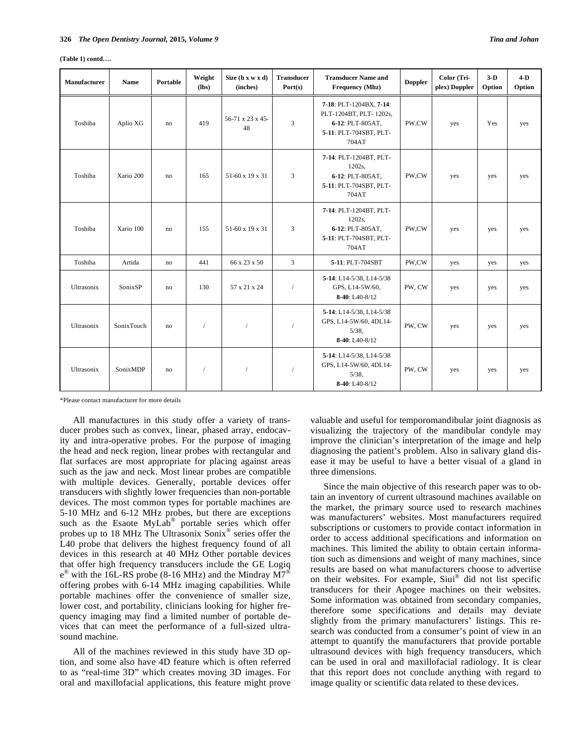| $(Table 1)$ contd |  |
|-------------------|--|
|-------------------|--|

| Manufacturer | <b>Name</b>     | Portable | Weight<br>(lbs) | Size $(h x w x d)$<br>(inches) | <b>Transducer</b><br>Port(s) | <b>Transducer Name and</b><br>Frequency (Mhz)                                                            | <b>Doppler</b> | Color (Tri-<br>plex) Doppler | $3-D$<br>Option | $4-D$<br>Option |
|--------------|-----------------|----------|-----------------|--------------------------------|------------------------------|----------------------------------------------------------------------------------------------------------|----------------|------------------------------|-----------------|-----------------|
| Toshiba      | Aplio XG        | no       | 419             | 56-71 x 23 x 45-<br>48         | 3                            | 7-18: PLT-1204BX, 7-14:<br>PLT-1204BT, PLT-1202s,<br>6-12: PLT-805AT,<br>5-11: PLT-704SBT, PLT-<br>704AT | PW,CW          | yes                          | Yes             | yes             |
| Toshiba      | Xario 200       | no       | 165             | 51-60 x 19 x 31                | 3                            | 7-14: PLT-1204BT, PLT-<br>1202s,<br>6-12: PLT-805AT.<br>5-11: PLT-704SBT, PLT-<br>704AT                  | PW,CW          | yes                          | yes             | yes             |
| Toshiba      | Xario 100       | no       | 155             | 51-60 x 19 x 31                | 3                            | 7-14: PLT-1204BT, PLT-<br>1202s,<br>6-12: PLT-805AT,<br>5-11: PLT-704SBT, PLT-<br>704AT                  | PW,CW          | yes                          | yes             | yes             |
| Toshiba      | Artida          | no       | 441             | 66 x 23 x 50                   | 3                            | 5-11: PLT-704SBT                                                                                         | PW,CW          | yes                          | yes             | yes             |
| Ultrasonix   | SonixSP         | no       | 130             | 57 x 21 x 24                   | $\sqrt{2}$                   | 5-14: L14-5/38, L14-5/38<br>GPS, L14-5W/60,<br>$8-40: L40-8/12$                                          | PW, CW         | yes                          | yes             | yes             |
| Ultrasonix   | SonixTouch      | no       | 1               | $\sqrt{ }$                     | $\sqrt{2}$                   | 5-14: L14-5/38, L14-5/38<br>GPS, L14-5W/60, 4DL14-<br>$5/38$ ,<br>8-40: L40-8/12                         | PW, CW         | yes                          | yes             | yes             |
| Ultrasonix   | <b>SonixMDP</b> | no       | $\overline{1}$  |                                |                              | 5-14: L14-5/38, L14-5/38<br>GPS, L14-5W/60, 4DL14-<br>$5/38$ ,<br>$8-40: L40-8/12$                       | PW, CW         | yes                          | yes             | yes             |

\*Please contact manufacturer for more details

All manufactures in this study offer a variety of transducer probes such as convex, linear, phased array, endocavity and intra-operative probes. For the purpose of imaging the head and neck region, linear probes with rectangular and flat surfaces are most appropriate for placing against areas such as the jaw and neck. Most linear probes are compatible with multiple devices. Generally, portable devices offer transducers with slightly lower frequencies than non-portable devices. The most common types for portable machines are 5-10 MHz and 6-12 MHz probes, but there are exceptions such as the Esaote MyLab<sup>®</sup> portable series which offer probes up to 18 MHz The Ultrasonix Sonix® series offer the L40 probe that delivers the highest frequency found of all devices in this research at 40 MHz Other portable devices that offer high frequency transducers include the GE Logiq  $e^{\circledast}$  with the 16L-RS probe (8-16 MHz) and the Mindray  $\overline{M7}^{\circledast}$ offering probes with 6-14 MHz imaging capabilities. While portable machines offer the convenience of smaller size, lower cost, and portability, clinicians looking for higher frequency imaging may find a limited number of portable devices that can meet the performance of a full-sized ultrasound machine.

All of the machines reviewed in this study have 3D option, and some also have 4D feature which is often referred to as "real-time 3D" which creates moving 3D images. For oral and maxillofacial applications, this feature might prove

valuable and useful for temporomandibular joint diagnosis as visualizing the trajectory of the mandibular condyle may improve the clinician's interpretation of the image and help diagnosing the patient's problem. Also in salivary gland disease it may be useful to have a better visual of a gland in three dimensions.

Since the main objective of this research paper was to obtain an inventory of current ultrasound machines available on the market, the primary source used to research machines was manufacturers' websites. Most manufacturers required subscriptions or customers to provide contact information in order to access additional specifications and information on machines. This limited the ability to obtain certain information such as dimensions and weight of many machines, since results are based on what manufacturers choose to advertise on their websites. For example, Siui® did not list specific transducers for their Apogee machines on their websites. Some information was obtained from secondary companies, therefore some specifications and details may deviate slightly from the primary manufacturers' listings. This research was conducted from a consumer's point of view in an attempt to quantify the manufacturers that provide portable ultrasound devices with high frequency transducers, which can be used in oral and maxillofacial radiology. It is clear that this report does not conclude anything with regard to image quality or scientific data related to these devices.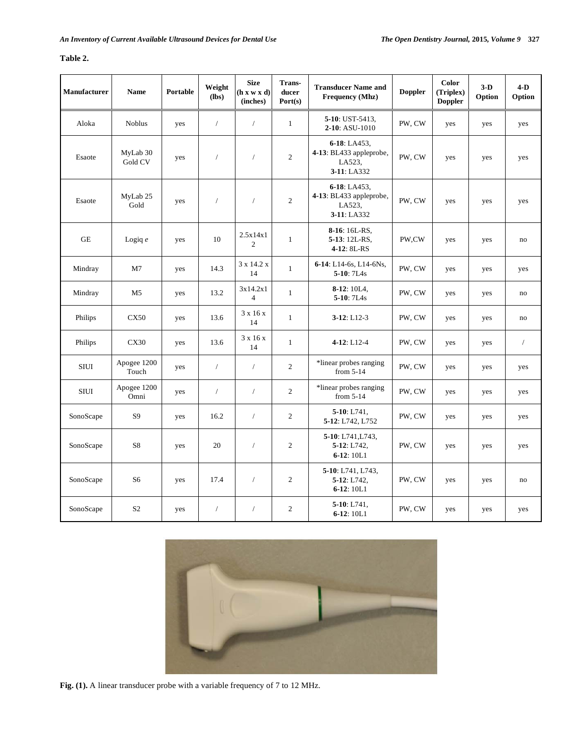# **Table 2.**

| Manufacturer        | <b>Name</b>          | Portable | Weight<br>(lbs) | <b>Size</b><br>(h x w x d)<br>(inches) | Trans-<br>ducer<br>Port(s) | <b>Transducer Name and</b><br><b>Frequency</b> (Mhz)             | <b>Doppler</b> | Color<br>(Triplex)<br><b>Doppler</b> | $3-D$<br>Option | $4-D$<br>Option |
|---------------------|----------------------|----------|-----------------|----------------------------------------|----------------------------|------------------------------------------------------------------|----------------|--------------------------------------|-----------------|-----------------|
| Aloka               | <b>Noblus</b>        | yes      | $\sqrt{ }$      | $\sqrt{2}$                             | $\mathbf{1}$               | 5-10: UST-5413,<br>2-10: ASU-1010                                | PW, CW         | yes                                  | yes             | yes             |
| Esaote              | MyLab 30<br>Gold CV  | yes      | $\sqrt{ }$      | $\sqrt{2}$                             | $\overline{c}$             | 6-18: LA453,<br>4-13: BL433 appleprobe,<br>LA523,<br>3-11: LA332 | PW, CW         | yes                                  | yes             | yes             |
| Esaote              | MyLab 25<br>Gold     | yes      | $\sqrt{ }$      | $\sqrt{2}$                             | $\sqrt{2}$                 | 6-18: LA453,<br>4-13: BL433 appleprobe,<br>LA523,<br>3-11: LA332 | PW, CW         | yes                                  | yes             | yes             |
| $\operatorname{GE}$ | Logiq $e$            | yes      | $10\,$          | 2.5x14x1<br>$\overline{c}$             | $\,1\,$                    | 8-16: 16L-RS,<br>5-13: 12L-RS,<br>4-12: 8L-RS                    | PW,CW          | yes                                  | yes             | no              |
| Mindray             | M <sub>7</sub>       | yes      | 14.3            | 3 x 14.2 x<br>14                       | $\mathbf{1}$               | 6-14: L14-6s, L14-6Ns,<br>5-10: 7L4s                             | PW, CW         | yes                                  | yes             | yes             |
| Mindray             | M5                   | yes      | 13.2            | 3x14.2x1<br>$\overline{4}$             | $\mathbf{1}$               | $8-12:10L4$ ,<br>5-10: 7L4s                                      | PW, CW         | yes                                  | yes             | $\rm{no}$       |
| Philips             | CX50                 | yes      | 13.6            | 3 x 16 x<br>14                         | $\mathbf{1}$               | $3-12: L12-3$                                                    | PW, CW         | yes                                  | yes             | no              |
| Philips             | CX30                 | yes      | 13.6            | $3 \times 16 \times$<br>14             | $\mathbf{1}$               | 4-12: L12-4                                                      | PW, CW         | yes                                  | yes             | $\sqrt{2}$      |
| <b>SIUI</b>         | Apogee 1200<br>Touch | yes      | $\sqrt{ }$      | $\sqrt{2}$                             | $\overline{c}$             | *linear probes ranging<br>from $5-14$                            | PW, CW         | yes                                  | yes             | yes             |
| $\rm SIUI$          | Apogee 1200<br>Omni  | yes      | $\sqrt{ }$      | $\sqrt{2}$                             | $\overline{c}$             | *linear probes ranging<br>from $5-14$                            | PW, CW         | yes                                  | yes             | yes             |
| SonoScape           | S <sub>9</sub>       | yes      | 16.2            | $\sqrt{2}$                             | $\overline{2}$             | $5-10$ : L741,<br>5-12: L742, L752                               | PW, CW         | yes                                  | yes             | yes             |
| SonoScape           | S8                   | yes      | 20              | $\sqrt{2}$                             | $\overline{c}$             | 5-10: L741, L743,<br>$5-12: L742,$<br>$6-12:10L1$                | PW, CW         | yes                                  | yes             | yes             |
| SonoScape           | S <sub>6</sub>       | yes      | 17.4            | $\sqrt{2}$                             | $\overline{c}$             | 5-10: L741, L743,<br>$5 - 12$ : L742,<br>$6-12:10L1$             | PW, CW         | yes                                  | yes             | no              |
| SonoScape           | S <sub>2</sub>       | yes      | $\sqrt{2}$      | $\sqrt{2}$                             | $\overline{c}$             | $5-10: L741,$<br>$6 - 12:10L1$                                   | PW, CW         | yes                                  | yes             | yes             |



**Fig. (1).** A linear transducer probe with a variable frequency of 7 to 12 MHz.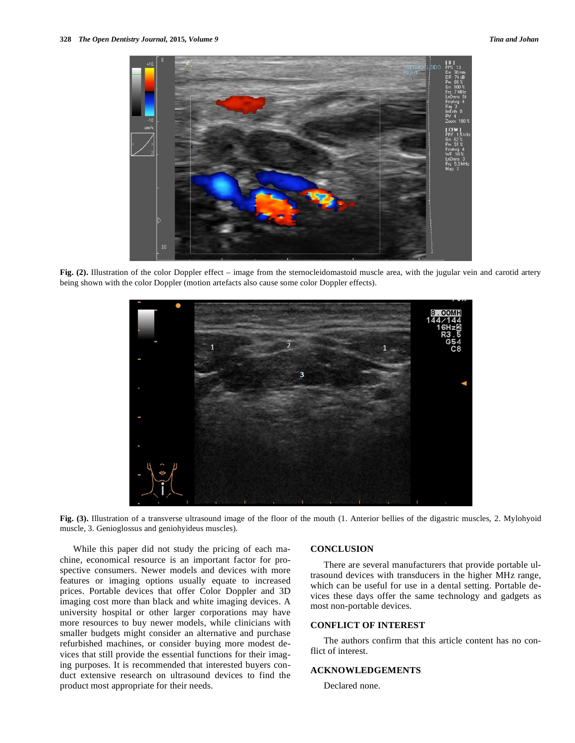

**Fig. (2).** Illustration of the color Doppler effect – image from the sternocleidomastoid muscle area, with the jugular vein and carotid artery being shown with the color Doppler (motion artefacts also cause some color Doppler effects).



**Fig. (3).** Illustration of a transverse ultrasound image of the floor of the mouth (1. Anterior bellies of the digastric muscles, 2. Mylohyoid muscle, 3. Genioglossus and geniohyideus muscles).

While this paper did not study the pricing of each machine, economical resource is an important factor for prospective consumers. Newer models and devices with more features or imaging options usually equate to increased prices. Portable devices that offer Color Doppler and 3D imaging cost more than black and white imaging devices. A university hospital or other larger corporations may have more resources to buy newer models, while clinicians with smaller budgets might consider an alternative and purchase refurbished machines, or consider buying more modest devices that still provide the essential functions for their imaging purposes. It is recommended that interested buyers conduct extensive research on ultrasound devices to find the product most appropriate for their needs.

## **CONCLUSION**

There are several manufacturers that provide portable ultrasound devices with transducers in the higher MHz range, which can be useful for use in a dental setting. Portable devices these days offer the same technology and gadgets as most non-portable devices.

# **CONFLICT OF INTEREST**

The authors confirm that this article content has no conflict of interest.

# **ACKNOWLEDGEMENTS**

Declared none.